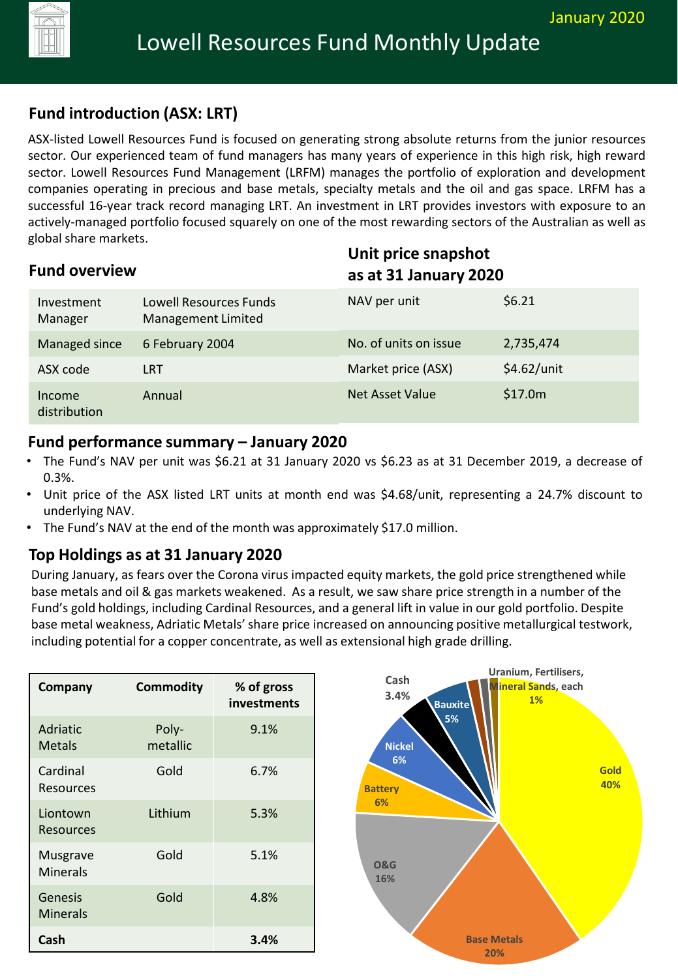# **Fund introduction (ASX: LRT)**

ASX-listed Lowell Resources Fund is focused on generating strong absolute returns from the junior resources sector. Our experienced team of fund managers has many years of experience in this high risk, high reward sector. Lowell Resources Fund Management (LRFM) manages the portfolio of exploration and development companies operating in precious and base metals, specialty metals and the oil and gas space. LRFM has a successful 16-year track record managing LRT. An investment in LRT provides investors with exposure to an actively-managed portfolio focused squarely on one of the most rewarding sectors of the Australian as well as global share markets.

| <b>Fund overview</b>   |                                              |                       | Unit price snapshot<br>as at 31 January 2020 |  |
|------------------------|----------------------------------------------|-----------------------|----------------------------------------------|--|
| Investment<br>Manager  | Lowell Resources Funds<br>Management Limited | NAV per unit          | \$6.21                                       |  |
| Managed since          | 6 February 2004                              | No. of units on issue | 2,735,474                                    |  |
| ASX code               | <b>LRT</b>                                   | Market price (ASX)    | \$4.62/unit                                  |  |
| Income<br>distribution | Annual                                       | Net Asset Value       | \$17.0m                                      |  |

#### **Fund performance summary – January 2020**

- The Fund's NAV per unit was \$6.21 at 31 January 2020 vs \$6.23 as at 31 December 2019, a decrease of 0.3%.
- Unit price of the ASX listed LRT units at month end was \$4.68/unit, representing a 24.7% discount to underlying NAV.
- The Fund's NAV at the end of the month was approximately \$17.0 million.

## **Top Holdings as at 31 January 2020**

During January, as fears over the Corona virus impacted equity markets, the gold price strengthened while base metals and oil & gas markets weakened. As a result, we saw share price strength in a number of the Fund's gold holdings, including Cardinal Resources, and a general lift in value in our gold portfolio. Despite base metal weakness, Adriatic Metals' share price increased on announcing positive metallurgical testwork, including potential for a copper concentrate, as well as extensional high grade drilling.

| Company                     | <b>Commodity</b>  | % of gross<br>investments |
|-----------------------------|-------------------|---------------------------|
| <b>Adriatic</b><br>Metals   | Poly-<br>metallic | 9.1%                      |
| Cardinal<br>Resources       | Gold              | 6.7%                      |
| Liontown<br>Resources       | Lithium           | 5.3%                      |
| Musgrave<br><b>Minerals</b> | Gold              | 5.1%                      |
| Genesis<br><b>Minerals</b>  | Gold              | 4.8%                      |
| Cash                        |                   | 3.4%                      |